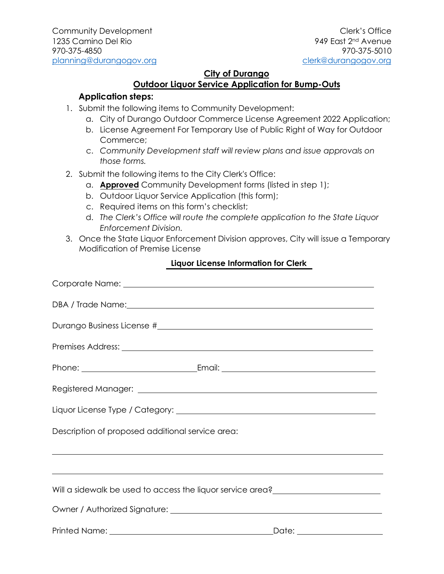#### **City of Durango**

# **Outdoor Liquor Service Application for Bump-Outs**

### **Application steps:**

- 1. Submit the following items to Community Development:
	- a. City of Durango Outdoor Commerce License Agreement 2022 Application;
	- b. License Agreement For Temporary Use of Public Right of Way for Outdoor Commerce;
	- c. *Community Development staff will review plans and issue approvals on those forms.*
- 2. Submit the following items to the City Clerk's Office:
	- a. **Approved** Community Development forms (listed in step 1);
	- b. Outdoor Liquor Service Application (this form);
	- c. Required items on this form's checklist;
	- d. *The Clerk's Office will route the complete application to the State Liquor Enforcement Division.*
- 3. Once the State Liquor Enforcement Division approves, City will issue a Temporary Modification of Premise License

#### **Liquor License Information for Clerk**

| DBA / Trade Name: 1988 and 2008 and 2008 and 2008 and 2008 and 2008 and 2008 and 2008 and 2008 and 2008 and 20       |
|----------------------------------------------------------------------------------------------------------------------|
|                                                                                                                      |
|                                                                                                                      |
|                                                                                                                      |
|                                                                                                                      |
|                                                                                                                      |
| Description of proposed additional service area:                                                                     |
| <u> 1989 - Andrea Santa Andrea Santa Andrea Santa Andrea Santa Andrea Santa Andrea Santa Andrea Santa Andrea San</u> |
| ,我们也不能会有一个人的事情。""我们的人们是不是我们的人,我们也不能会有一个人的人,我们也不能会有一个人的人,我们也不能会有一个人的人,我们也不能会有一个人的                                     |
|                                                                                                                      |
|                                                                                                                      |